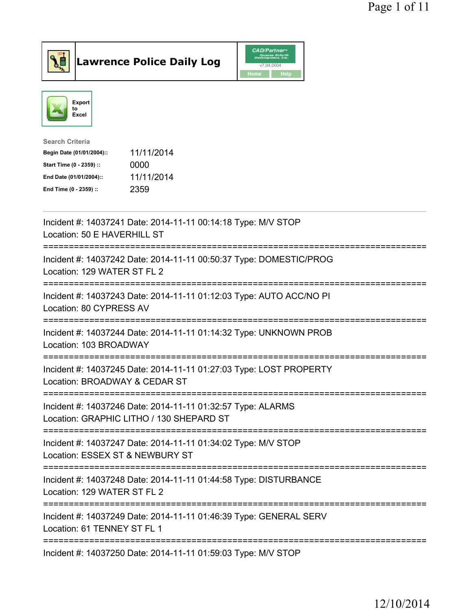



| <b>Search Criteria</b>    |            |
|---------------------------|------------|
| Begin Date (01/01/2004):: | 11/11/2014 |
| Start Time (0 - 2359) ::  | 0000       |
| End Date (01/01/2004)::   | 11/11/2014 |
| End Time (0 - 2359) ::    | 2359       |
|                           |            |

| Incident #: 14037241 Date: 2014-11-11 00:14:18 Type: M/V STOP<br>Location: 50 E HAVERHILL ST                       |
|--------------------------------------------------------------------------------------------------------------------|
| Incident #: 14037242 Date: 2014-11-11 00:50:37 Type: DOMESTIC/PROG<br>Location: 129 WATER ST FL 2                  |
| Incident #: 14037243 Date: 2014-11-11 01:12:03 Type: AUTO ACC/NO PI<br>Location: 80 CYPRESS AV                     |
| Incident #: 14037244 Date: 2014-11-11 01:14:32 Type: UNKNOWN PROB<br>Location: 103 BROADWAY                        |
| Incident #: 14037245 Date: 2014-11-11 01:27:03 Type: LOST PROPERTY<br>Location: BROADWAY & CEDAR ST<br>----------- |
| Incident #: 14037246 Date: 2014-11-11 01:32:57 Type: ALARMS<br>Location: GRAPHIC LITHO / 130 SHEPARD ST            |
| Incident #: 14037247 Date: 2014-11-11 01:34:02 Type: M/V STOP<br>Location: ESSEX ST & NEWBURY ST                   |
| Incident #: 14037248 Date: 2014-11-11 01:44:58 Type: DISTURBANCE<br>Location: 129 WATER ST FL 2                    |
| Incident #: 14037249 Date: 2014-11-11 01:46:39 Type: GENERAL SERV<br>Location: 61 TENNEY ST FL 1                   |
| Incident #: 14037250 Date: 2014-11-11 01:59:03 Type: M/V STOP                                                      |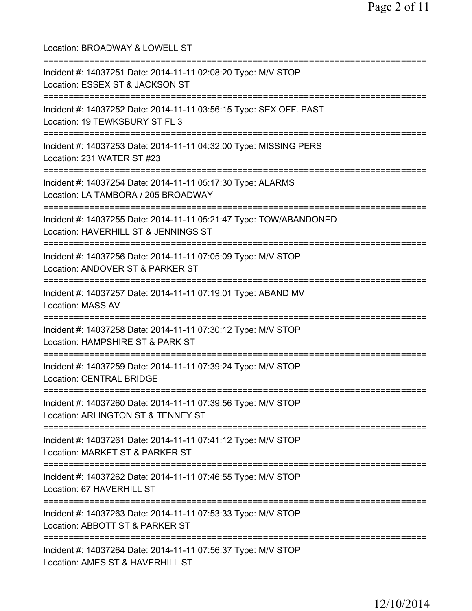| Location: BROADWAY & LOWELL ST                                                                                                                 |
|------------------------------------------------------------------------------------------------------------------------------------------------|
| Incident #: 14037251 Date: 2014-11-11 02:08:20 Type: M/V STOP<br>Location: ESSEX ST & JACKSON ST<br>======================================     |
| Incident #: 14037252 Date: 2014-11-11 03:56:15 Type: SEX OFF. PAST<br>Location: 19 TEWKSBURY ST FL 3<br>====================================== |
| Incident #: 14037253 Date: 2014-11-11 04:32:00 Type: MISSING PERS<br>Location: 231 WATER ST #23<br>================================            |
| Incident #: 14037254 Date: 2014-11-11 05:17:30 Type: ALARMS<br>Location: LA TAMBORA / 205 BROADWAY                                             |
| Incident #: 14037255 Date: 2014-11-11 05:21:47 Type: TOW/ABANDONED<br>Location: HAVERHILL ST & JENNINGS ST                                     |
| Incident #: 14037256 Date: 2014-11-11 07:05:09 Type: M/V STOP<br>Location: ANDOVER ST & PARKER ST<br>.----------------------                   |
| Incident #: 14037257 Date: 2014-11-11 07:19:01 Type: ABAND MV<br><b>Location: MASS AV</b>                                                      |
| Incident #: 14037258 Date: 2014-11-11 07:30:12 Type: M/V STOP<br>Location: HAMPSHIRE ST & PARK ST                                              |
| =========================<br>Incident #: 14037259 Date: 2014-11-11 07:39:24 Type: M/V STOP<br><b>Location: CENTRAL BRIDGE</b>                  |
| ====================================<br>Incident #: 14037260 Date: 2014-11-11 07:39:56 Type: M/V STOP<br>Location: ARLINGTON ST & TENNEY ST    |
| Incident #: 14037261 Date: 2014-11-11 07:41:12 Type: M/V STOP<br>Location: MARKET ST & PARKER ST                                               |
| Incident #: 14037262 Date: 2014-11-11 07:46:55 Type: M/V STOP<br>Location: 67 HAVERHILL ST                                                     |
| ===================================<br>Incident #: 14037263 Date: 2014-11-11 07:53:33 Type: M/V STOP<br>Location: ABBOTT ST & PARKER ST        |
| Incident #: 14037264 Date: 2014-11-11 07:56:37 Type: M/V STOP<br>Location: AMES ST & HAVERHILL ST                                              |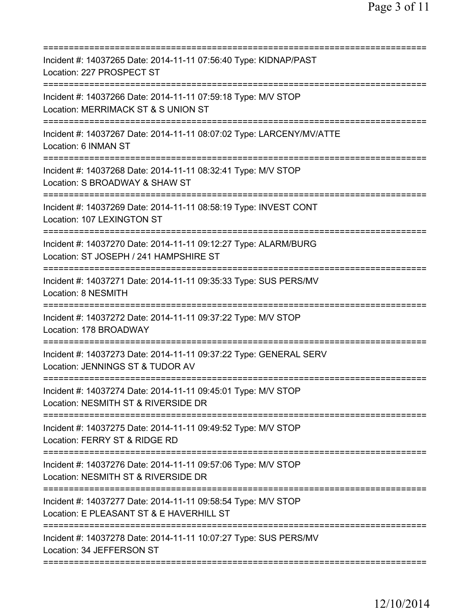| Incident #: 14037265 Date: 2014-11-11 07:56:40 Type: KIDNAP/PAST<br>Location: 227 PROSPECT ST                                                                              |
|----------------------------------------------------------------------------------------------------------------------------------------------------------------------------|
| Incident #: 14037266 Date: 2014-11-11 07:59:18 Type: M/V STOP<br>Location: MERRIMACK ST & S UNION ST                                                                       |
| Incident #: 14037267 Date: 2014-11-11 08:07:02 Type: LARCENY/MV/ATTE<br>Location: 6 INMAN ST                                                                               |
| Incident #: 14037268 Date: 2014-11-11 08:32:41 Type: M/V STOP<br>Location: S BROADWAY & SHAW ST<br>=====================                                                   |
| Incident #: 14037269 Date: 2014-11-11 08:58:19 Type: INVEST CONT<br>Location: 107 LEXINGTON ST                                                                             |
| =====================================<br>Incident #: 14037270 Date: 2014-11-11 09:12:27 Type: ALARM/BURG<br>Location: ST JOSEPH / 241 HAMPSHIRE ST<br>==================== |
| Incident #: 14037271 Date: 2014-11-11 09:35:33 Type: SUS PERS/MV<br>Location: 8 NESMITH                                                                                    |
| Incident #: 14037272 Date: 2014-11-11 09:37:22 Type: M/V STOP<br>Location: 178 BROADWAY                                                                                    |
| Incident #: 14037273 Date: 2014-11-11 09:37:22 Type: GENERAL SERV<br>Location: JENNINGS ST & TUDOR AV                                                                      |
| Incident #: 14037274 Date: 2014-11-11 09:45:01 Type: M/V STOP<br>Location: NESMITH ST & RIVERSIDE DR                                                                       |
| Incident #: 14037275 Date: 2014-11-11 09:49:52 Type: M/V STOP<br>Location: FERRY ST & RIDGE RD                                                                             |
| Incident #: 14037276 Date: 2014-11-11 09:57:06 Type: M/V STOP<br>Location: NESMITH ST & RIVERSIDE DR                                                                       |
| Incident #: 14037277 Date: 2014-11-11 09:58:54 Type: M/V STOP<br>Location: E PLEASANT ST & E HAVERHILL ST                                                                  |
| Incident #: 14037278 Date: 2014-11-11 10:07:27 Type: SUS PERS/MV<br>Location: 34 JEFFERSON ST                                                                              |
|                                                                                                                                                                            |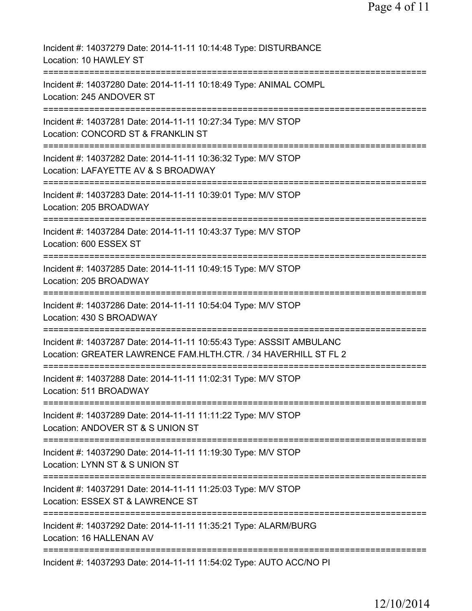| Incident #: 14037279 Date: 2014-11-11 10:14:48 Type: DISTURBANCE<br>Location: 10 HAWLEY ST                                              |
|-----------------------------------------------------------------------------------------------------------------------------------------|
| Incident #: 14037280 Date: 2014-11-11 10:18:49 Type: ANIMAL COMPL<br>Location: 245 ANDOVER ST                                           |
| Incident #: 14037281 Date: 2014-11-11 10:27:34 Type: M/V STOP<br>Location: CONCORD ST & FRANKLIN ST                                     |
| Incident #: 14037282 Date: 2014-11-11 10:36:32 Type: M/V STOP<br>Location: LAFAYETTE AV & S BROADWAY                                    |
| Incident #: 14037283 Date: 2014-11-11 10:39:01 Type: M/V STOP<br>Location: 205 BROADWAY                                                 |
| Incident #: 14037284 Date: 2014-11-11 10:43:37 Type: M/V STOP<br>Location: 600 ESSEX ST                                                 |
| Incident #: 14037285 Date: 2014-11-11 10:49:15 Type: M/V STOP<br>Location: 205 BROADWAY                                                 |
| Incident #: 14037286 Date: 2014-11-11 10:54:04 Type: M/V STOP<br>Location: 430 S BROADWAY                                               |
| Incident #: 14037287 Date: 2014-11-11 10:55:43 Type: ASSSIT AMBULANC<br>Location: GREATER LAWRENCE FAM.HLTH.CTR. / 34 HAVERHILL ST FL 2 |
| Incident #: 14037288 Date: 2014-11-11 11:02:31 Type: M/V STOP<br>Location: 511 BROADWAY                                                 |
| Incident #: 14037289 Date: 2014-11-11 11:11:22 Type: M/V STOP<br>Location: ANDOVER ST & S UNION ST                                      |
| Incident #: 14037290 Date: 2014-11-11 11:19:30 Type: M/V STOP<br>Location: LYNN ST & S UNION ST                                         |
| Incident #: 14037291 Date: 2014-11-11 11:25:03 Type: M/V STOP<br>Location: ESSEX ST & LAWRENCE ST                                       |
| Incident #: 14037292 Date: 2014-11-11 11:35:21 Type: ALARM/BURG<br>Location: 16 HALLENAN AV                                             |
| Incident #: 14037293 Date: 2014-11-11 11:54:02 Type: AUTO ACC/NO PI                                                                     |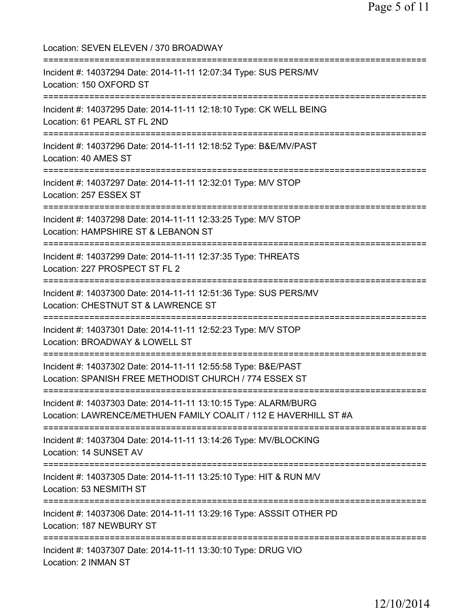Location: SEVEN ELEVEN / 370 BROADWAY =========================================================================== Incident #: 14037294 Date: 2014-11-11 12:07:34 Type: SUS PERS/MV Location: 150 OXFORD ST =========================================================================== Incident #: 14037295 Date: 2014-11-11 12:18:10 Type: CK WELL BEING Location: 61 PEARL ST FL 2ND =========================================================================== Incident #: 14037296 Date: 2014-11-11 12:18:52 Type: B&E/MV/PAST Location: 40 AMES ST =========================================================================== Incident #: 14037297 Date: 2014-11-11 12:32:01 Type: M/V STOP Location: 257 ESSEX ST =========================================================================== Incident #: 14037298 Date: 2014-11-11 12:33:25 Type: M/V STOP Location: HAMPSHIRE ST & LEBANON ST =========================================================================== Incident #: 14037299 Date: 2014-11-11 12:37:35 Type: THREATS Location: 227 PROSPECT ST FL 2 =========================================================================== Incident #: 14037300 Date: 2014-11-11 12:51:36 Type: SUS PERS/MV Location: CHESTNUT ST & LAWRENCE ST =========================================================================== Incident #: 14037301 Date: 2014-11-11 12:52:23 Type: M/V STOP Location: BROADWAY & LOWELL ST =========================================================================== Incident #: 14037302 Date: 2014-11-11 12:55:58 Type: B&E/PAST Location: SPANISH FREE METHODIST CHURCH / 774 ESSEX ST =========================================================================== Incident #: 14037303 Date: 2014-11-11 13:10:15 Type: ALARM/BURG Location: LAWRENCE/METHUEN FAMILY COALIT / 112 E HAVERHILL ST #A ============================= Incident #: 14037304 Date: 2014-11-11 13:14:26 Type: MV/BLOCKING Location: 14 SUNSET AV =========================================================================== Incident #: 14037305 Date: 2014-11-11 13:25:10 Type: HIT & RUN M/V Location: 53 NESMITH ST =========================================================================== Incident #: 14037306 Date: 2014-11-11 13:29:16 Type: ASSSIT OTHER PD Location: 187 NEWBURY ST =========================================================================== Incident #: 14037307 Date: 2014-11-11 13:30:10 Type: DRUG VIO Location: 2 INMAN ST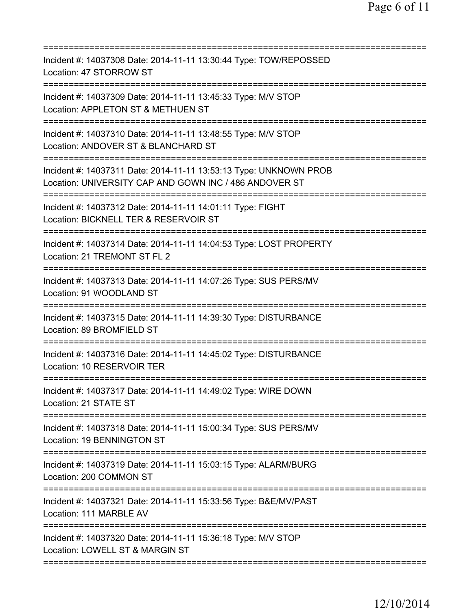| Incident #: 14037308 Date: 2014-11-11 13:30:44 Type: TOW/REPOSSED<br>Location: 47 STORROW ST                                                                            |
|-------------------------------------------------------------------------------------------------------------------------------------------------------------------------|
| Incident #: 14037309 Date: 2014-11-11 13:45:33 Type: M/V STOP<br>Location: APPLETON ST & METHUEN ST                                                                     |
| Incident #: 14037310 Date: 2014-11-11 13:48:55 Type: M/V STOP<br>Location: ANDOVER ST & BLANCHARD ST                                                                    |
| Incident #: 14037311 Date: 2014-11-11 13:53:13 Type: UNKNOWN PROB<br>Location: UNIVERSITY CAP AND GOWN INC / 486 ANDOVER ST                                             |
| Incident #: 14037312 Date: 2014-11-11 14:01:11 Type: FIGHT<br>Location: BICKNELL TER & RESERVOIR ST                                                                     |
| =================================<br>Incident #: 14037314 Date: 2014-11-11 14:04:53 Type: LOST PROPERTY<br>Location: 21 TREMONT ST FL 2                                 |
| ====================================<br>Incident #: 14037313 Date: 2014-11-11 14:07:26 Type: SUS PERS/MV<br>Location: 91 WOODLAND ST<br>:============================== |
| Incident #: 14037315 Date: 2014-11-11 14:39:30 Type: DISTURBANCE<br>Location: 89 BROMFIELD ST                                                                           |
| Incident #: 14037316 Date: 2014-11-11 14:45:02 Type: DISTURBANCE<br>Location: 10 RESERVOIR TER                                                                          |
| Incident #: 14037317 Date: 2014-11-11 14:49:02 Type: WIRE DOWN<br>Location: 21 STATE ST                                                                                 |
| Incident #: 14037318 Date: 2014-11-11 15:00:34 Type: SUS PERS/MV<br>Location: 19 BENNINGTON ST                                                                          |
| Incident #: 14037319 Date: 2014-11-11 15:03:15 Type: ALARM/BURG<br>Location: 200 COMMON ST                                                                              |
| Incident #: 14037321 Date: 2014-11-11 15:33:56 Type: B&E/MV/PAST<br>Location: 111 MARBLE AV                                                                             |
| Incident #: 14037320 Date: 2014-11-11 15:36:18 Type: M/V STOP<br>Location: LOWELL ST & MARGIN ST                                                                        |
|                                                                                                                                                                         |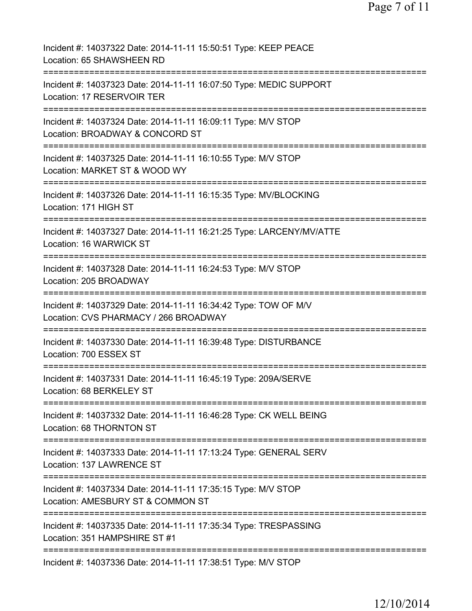| Incident #: 14037322 Date: 2014-11-11 15:50:51 Type: KEEP PEACE<br>Location: 65 SHAWSHEEN RD             |
|----------------------------------------------------------------------------------------------------------|
| Incident #: 14037323 Date: 2014-11-11 16:07:50 Type: MEDIC SUPPORT<br>Location: 17 RESERVOIR TER         |
| Incident #: 14037324 Date: 2014-11-11 16:09:11 Type: M/V STOP<br>Location: BROADWAY & CONCORD ST         |
| Incident #: 14037325 Date: 2014-11-11 16:10:55 Type: M/V STOP<br>Location: MARKET ST & WOOD WY           |
| Incident #: 14037326 Date: 2014-11-11 16:15:35 Type: MV/BLOCKING<br>Location: 171 HIGH ST                |
| Incident #: 14037327 Date: 2014-11-11 16:21:25 Type: LARCENY/MV/ATTE<br>Location: 16 WARWICK ST          |
| Incident #: 14037328 Date: 2014-11-11 16:24:53 Type: M/V STOP<br>Location: 205 BROADWAY                  |
| Incident #: 14037329 Date: 2014-11-11 16:34:42 Type: TOW OF M/V<br>Location: CVS PHARMACY / 266 BROADWAY |
| Incident #: 14037330 Date: 2014-11-11 16:39:48 Type: DISTURBANCE<br>Location: 700 ESSEX ST               |
| Incident #: 14037331 Date: 2014-11-11 16:45:19 Type: 209A/SERVE<br>Location: 68 BERKELEY ST              |
| Incident #: 14037332 Date: 2014-11-11 16:46:28 Type: CK WELL BEING<br>Location: 68 THORNTON ST           |
| Incident #: 14037333 Date: 2014-11-11 17:13:24 Type: GENERAL SERV<br>Location: 137 LAWRENCE ST           |
| Incident #: 14037334 Date: 2014-11-11 17:35:15 Type: M/V STOP<br>Location: AMESBURY ST & COMMON ST       |
| Incident #: 14037335 Date: 2014-11-11 17:35:34 Type: TRESPASSING<br>Location: 351 HAMPSHIRE ST #1        |
| Incident #: 14037336 Date: 2014-11-11 17:38:51 Type: M/V STOP                                            |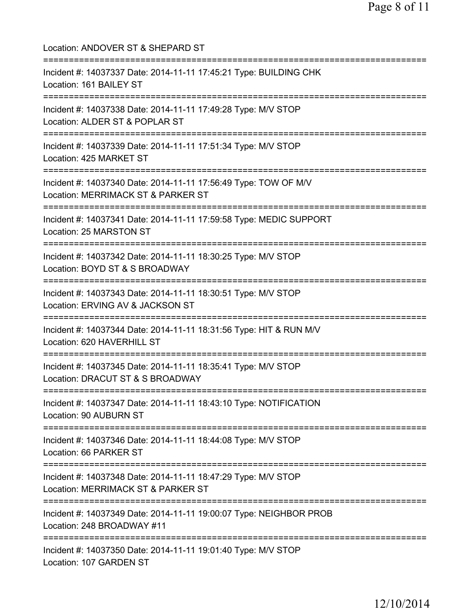| Location: ANDOVER ST & SHEPARD ST                                                                                                          |
|--------------------------------------------------------------------------------------------------------------------------------------------|
| Incident #: 14037337 Date: 2014-11-11 17:45:21 Type: BUILDING CHK<br>Location: 161 BAILEY ST<br>================================           |
| Incident #: 14037338 Date: 2014-11-11 17:49:28 Type: M/V STOP<br>Location: ALDER ST & POPLAR ST                                            |
| ====================================<br>Incident #: 14037339 Date: 2014-11-11 17:51:34 Type: M/V STOP<br>Location: 425 MARKET ST           |
| =================================<br>Incident #: 14037340 Date: 2014-11-11 17:56:49 Type: TOW OF M/V<br>Location: MERRIMACK ST & PARKER ST |
| Incident #: 14037341 Date: 2014-11-11 17:59:58 Type: MEDIC SUPPORT<br>Location: 25 MARSTON ST                                              |
| Incident #: 14037342 Date: 2014-11-11 18:30:25 Type: M/V STOP<br>Location: BOYD ST & S BROADWAY<br>:=========================              |
| Incident #: 14037343 Date: 2014-11-11 18:30:51 Type: M/V STOP<br>Location: ERVING AV & JACKSON ST<br>====================================  |
| Incident #: 14037344 Date: 2014-11-11 18:31:56 Type: HIT & RUN M/V<br>Location: 620 HAVERHILL ST                                           |
| Incident #: 14037345 Date: 2014-11-11 18:35:41 Type: M/V STOP<br>Location: DRACUT ST & S BROADWAY                                          |
| ====================================<br>Incident #: 14037347 Date: 2014-11-11 18:43:10 Type: NOTIFICATION<br>Location: 90 AUBURN ST        |
| ;==============================<br>Incident #: 14037346 Date: 2014-11-11 18:44:08 Type: M/V STOP<br>Location: 66 PARKER ST                 |
| ==============================<br>Incident #: 14037348 Date: 2014-11-11 18:47:29 Type: M/V STOP<br>Location: MERRIMACK ST & PARKER ST      |
| Incident #: 14037349 Date: 2014-11-11 19:00:07 Type: NEIGHBOR PROB<br>Location: 248 BROADWAY #11                                           |
| Incident #: 14037350 Date: 2014-11-11 19:01:40 Type: M/V STOP<br>Location: 107 GARDEN ST                                                   |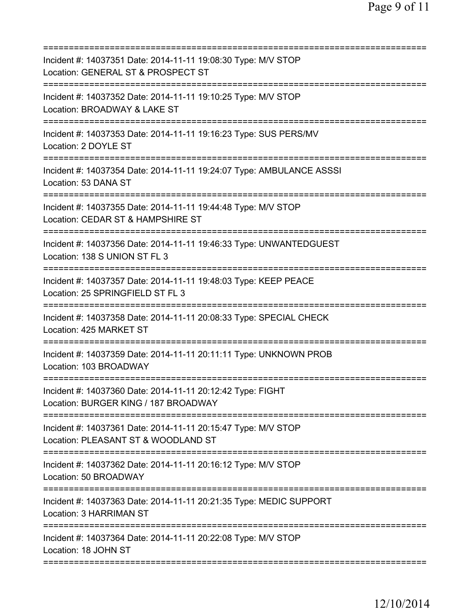| ===========================                                                                                          |
|----------------------------------------------------------------------------------------------------------------------|
| Incident #: 14037351 Date: 2014-11-11 19:08:30 Type: M/V STOP<br>Location: GENERAL ST & PROSPECT ST                  |
| Incident #: 14037352 Date: 2014-11-11 19:10:25 Type: M/V STOP<br>Location: BROADWAY & LAKE ST                        |
| Incident #: 14037353 Date: 2014-11-11 19:16:23 Type: SUS PERS/MV<br>Location: 2 DOYLE ST                             |
| Incident #: 14037354 Date: 2014-11-11 19:24:07 Type: AMBULANCE ASSSI<br>Location: 53 DANA ST                         |
| Incident #: 14037355 Date: 2014-11-11 19:44:48 Type: M/V STOP<br>Location: CEDAR ST & HAMPSHIRE ST                   |
| Incident #: 14037356 Date: 2014-11-11 19:46:33 Type: UNWANTEDGUEST<br>Location: 138 S UNION ST FL 3                  |
| Incident #: 14037357 Date: 2014-11-11 19:48:03 Type: KEEP PEACE<br>Location: 25 SPRINGFIELD ST FL 3<br>-----------   |
| Incident #: 14037358 Date: 2014-11-11 20:08:33 Type: SPECIAL CHECK<br>Location: 425 MARKET ST<br>------------------- |
| Incident #: 14037359 Date: 2014-11-11 20:11:11 Type: UNKNOWN PROB<br>Location: 103 BROADWAY                          |
| Incident #: 14037360 Date: 2014-11-11 20:12:42 Type: FIGHT<br>Location: BURGER KING / 187 BROADWAY                   |
| Incident #: 14037361 Date: 2014-11-11 20:15:47 Type: M/V STOP<br>Location: PLEASANT ST & WOODLAND ST                 |
| Incident #: 14037362 Date: 2014-11-11 20:16:12 Type: M/V STOP<br>Location: 50 BROADWAY                               |
| Incident #: 14037363 Date: 2014-11-11 20:21:35 Type: MEDIC SUPPORT<br><b>Location: 3 HARRIMAN ST</b>                 |
| Incident #: 14037364 Date: 2014-11-11 20:22:08 Type: M/V STOP<br>Location: 18 JOHN ST                                |
|                                                                                                                      |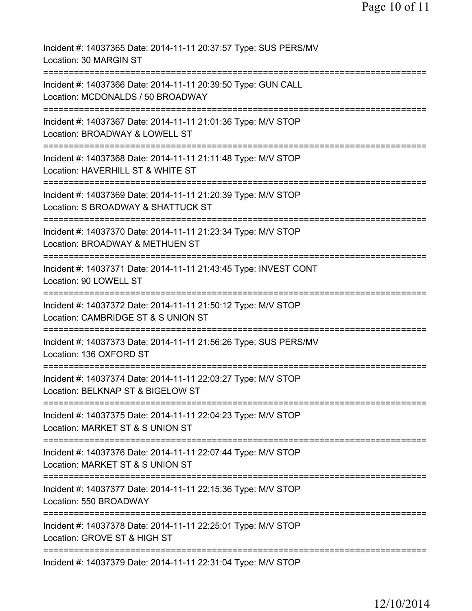| Incident #: 14037365 Date: 2014-11-11 20:37:57 Type: SUS PERS/MV<br>Location: 30 MARGIN ST                              |
|-------------------------------------------------------------------------------------------------------------------------|
| Incident #: 14037366 Date: 2014-11-11 20:39:50 Type: GUN CALL<br>Location: MCDONALDS / 50 BROADWAY                      |
| Incident #: 14037367 Date: 2014-11-11 21:01:36 Type: M/V STOP<br>Location: BROADWAY & LOWELL ST                         |
| Incident #: 14037368 Date: 2014-11-11 21:11:48 Type: M/V STOP<br>Location: HAVERHILL ST & WHITE ST                      |
| Incident #: 14037369 Date: 2014-11-11 21:20:39 Type: M/V STOP<br>Location: S BROADWAY & SHATTUCK ST                     |
| Incident #: 14037370 Date: 2014-11-11 21:23:34 Type: M/V STOP<br>Location: BROADWAY & METHUEN ST                        |
| Incident #: 14037371 Date: 2014-11-11 21:43:45 Type: INVEST CONT<br>Location: 90 LOWELL ST                              |
| ===============<br>Incident #: 14037372 Date: 2014-11-11 21:50:12 Type: M/V STOP<br>Location: CAMBRIDGE ST & S UNION ST |
| Incident #: 14037373 Date: 2014-11-11 21:56:26 Type: SUS PERS/MV<br>Location: 136 OXFORD ST                             |
| ==============<br>Incident #: 14037374 Date: 2014-11-11 22:03:27 Type: M/V STOP<br>Location: BELKNAP ST & BIGELOW ST    |
| Incident #: 14037375 Date: 2014-11-11 22:04:23 Type: M/V STOP<br>Location: MARKET ST & S UNION ST                       |
| Incident #: 14037376 Date: 2014-11-11 22:07:44 Type: M/V STOP<br>Location: MARKET ST & S UNION ST                       |
| Incident #: 14037377 Date: 2014-11-11 22:15:36 Type: M/V STOP<br>Location: 550 BROADWAY                                 |
| Incident #: 14037378 Date: 2014-11-11 22:25:01 Type: M/V STOP<br>Location: GROVE ST & HIGH ST                           |
| Incident #: 14037379 Date: 2014-11-11 22:31:04 Type: M/V STOP                                                           |